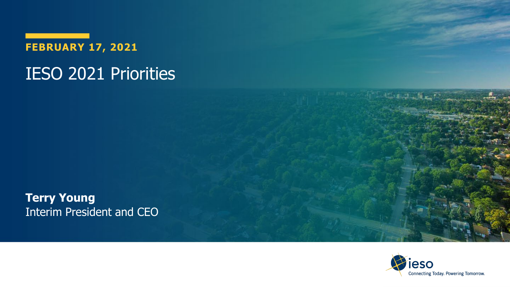**FEBRUARY 17, 2021**

#### IESO 2021 Priorities

**Terry Young** Interim President and CEO

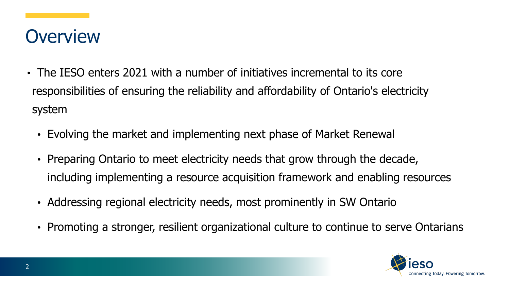#### **Overview**

- The IESO enters 2021 with a number of initiatives incremental to its core responsibilities of ensuring the reliability and affordability of Ontario's electricity system
	- Evolving the market and implementing next phase of Market Renewal
	- Preparing Ontario to meet electricity needs that grow through the decade, including implementing a resource acquisition framework and enabling resources
	- Addressing regional electricity needs, most prominently in SW Ontario
	- Promoting a stronger, resilient organizational culture to continue to serve Ontarians

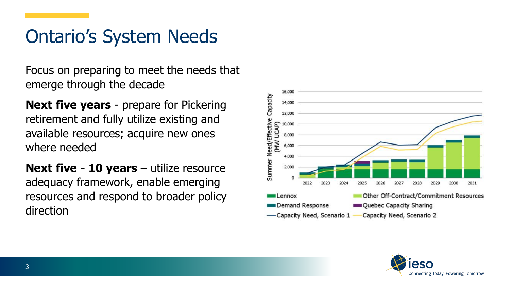### Ontario's System Needs

Focus on preparing to meet the needs that emerge through the decade

**Next five years** - prepare for Pickering retirement and fully utilize existing and available resources; acquire new ones where needed

**Next five - 10 years** – utilize resource adequacy framework, enable emerging resources and respond to broader policy direction



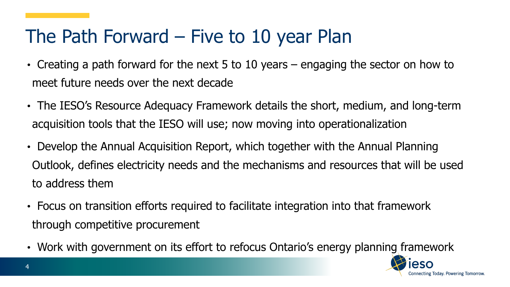#### The Path Forward – Five to 10 year Plan

- Creating a path forward for the next 5 to 10 years engaging the sector on how to meet future needs over the next decade
- The IESO's Resource Adequacy Framework details the short, medium, and long-term acquisition tools that the IESO will use; now moving into operationalization
- Develop the Annual Acquisition Report, which together with the Annual Planning Outlook, defines electricity needs and the mechanisms and resources that will be used to address them
- Focus on transition efforts required to facilitate integration into that framework through competitive procurement
- Work with government on its effort to refocus Ontario's energy planning framework

4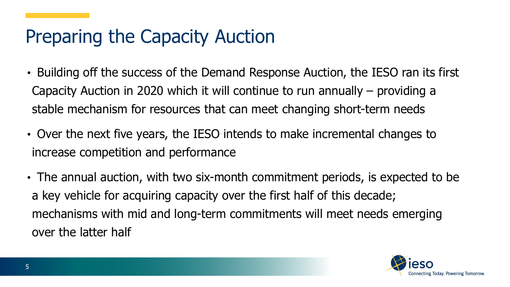### Preparing the Capacity Auction

- Building off the success of the Demand Response Auction, the IESO ran its first Capacity Auction in 2020 which it will continue to run annually – providing a stable mechanism for resources that can meet changing short-term needs
- Over the next five years, the IESO intends to make incremental changes to increase competition and performance
- The annual auction, with two six-month commitment periods, is expected to be a key vehicle for acquiring capacity over the first half of this decade; mechanisms with mid and long-term commitments will meet needs emerging over the latter half

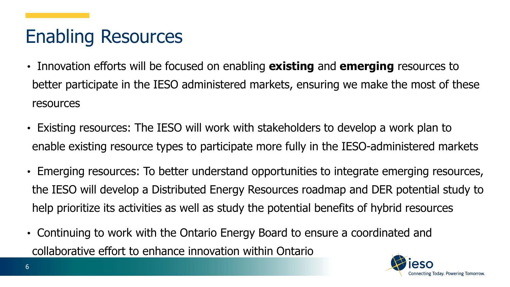# Enabling Resources

- Innovation efforts will be focused on enabling **existing** and **emerging** resources to better participate in the IESO administered markets, ensuring we make the most of these resources
- Existing resources: The IESO will work with stakeholders to develop a work plan to enable existing resource types to participate more fully in the IESO-administered markets
- Emerging resources: To better understand opportunities to integrate emerging resources, the IESO will develop a Distributed Energy Resources roadmap and DER potential study to help prioritize its activities as well as study the potential benefits of hybrid resources
- Continuing to work with the Ontario Energy Board to ensure a coordinated and collaborative effort to enhance innovation within Ontario

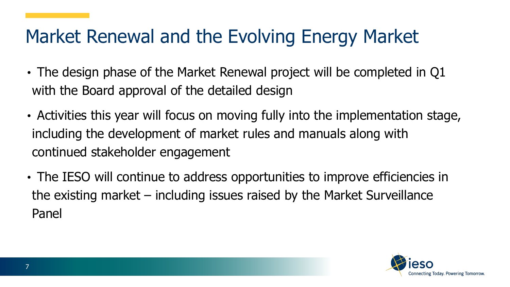### Market Renewal and the Evolving Energy Market

- The design phase of the Market Renewal project will be completed in Q1 with the Board approval of the detailed design
- Activities this year will focus on moving fully into the implementation stage, including the development of market rules and manuals along with continued stakeholder engagement
- The IESO will continue to address opportunities to improve efficiencies in the existing market – including issues raised by the Market Surveillance Panel

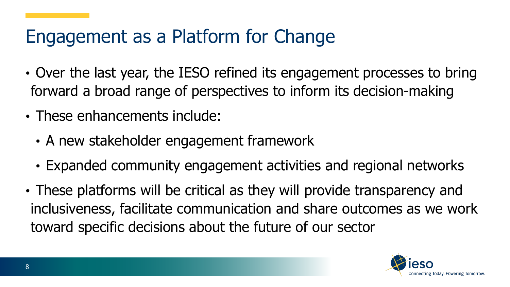# Engagement as a Platform for Change

- Over the last year, the IESO refined its engagement processes to bring forward a broad range of perspectives to inform its decision-making
- These enhancements include:
	- A new stakeholder engagement framework
	- Expanded community engagement activities and regional networks
- These platforms will be critical as they will provide transparency and inclusiveness, facilitate communication and share outcomes as we work toward specific decisions about the future of our sector

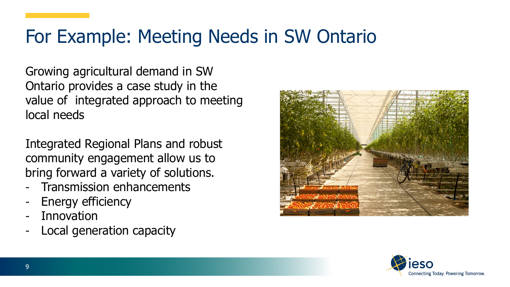#### For Example: Meeting Needs in SW Ontario

Growing agricultural demand in SW Ontario provides a case study in the value of integrated approach to meeting local needs

Integrated Regional Plans and robust community engagement allow us to bring forward a variety of solutions.

- Transmission enhancements
- Energy efficiency
- **Innovation**
- Local generation capacity



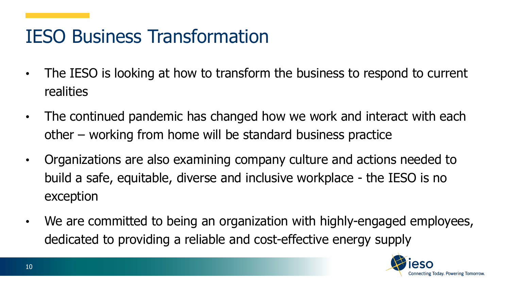# IESO Business Transformation

- The IESO is looking at how to transform the business to respond to current realities
- The continued pandemic has changed how we work and interact with each other – working from home will be standard business practice
- Organizations are also examining company culture and actions needed to build a safe, equitable, diverse and inclusive workplace - the IESO is no exception
- We are committed to being an organization with highly-engaged employees, dedicated to providing a reliable and cost-effective energy supply